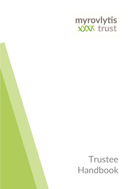

# **Trustee** Handbook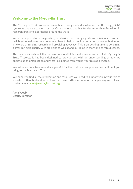# Welcome to the Myrovyltis Trust

The Myrovlytis Trust promotes research into rare genetic disorders such as Birt-Hogg-Dubé syndrome and rare cancers such as Osteosarcoma and has funded more than £6 million in research grants to laboratories around the world.

We are in a period of reinvigorating the charity, our strategic goals and mission, and we are delighted to welcome new board members to help us realise our vision as we embark upon a new era of funding research and providing advocacy. This is an exciting time to be joining a small but agile charity with big plans as we expand our remit in the world of rare diseases.

This handbook sets out the purpose, responsibilities and roles expected of all Myrovlytis Trust Trustees. It has been designed to provide you with an understanding of how we operate as an organisation and what is expected from you in your role as a trustee.

We value you as a trustee and are grateful for the continued support and commitment you bring to the Myrovlytis Trust.

We hope you find all the information and resources you need to support you in your role as a trustee within this handbook. If you need any further information or help in any way, please contact me at anna@myrovyltistrust.org

Anna Webb Charity Director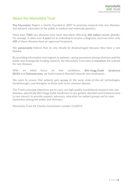# About the Myrovlytis Trust

The Myrovlytis Trust is a charity founded in 2007 to promote research into rare diseases, and advance education of the public in medical and molecular genetics.

More than 7000 rare diseases have been described, affecting 300 million people globally. On average, it takes over 4 years for an individual to receive a diagnosis, and even then, only 400 of these diseases have an approved treatment.

We **passionately** believe that no one should be disadvantaged because they have a rare disease.

By providing information and support to patients, raising awareness among clinicians and the public and strategically funding research, the Myrovlytis Trust aims to transform the outlook for rare diseases.

With an initial focus on two conditions. Birt-Hogg-Dubé Syndrome (BHD) and Osteosarcoma, we fund research directed towards new treatments.

We want to ensure that patients gain **access** to the same state-of-the-art technologies, breakthroughs, and therapies as those with more common disease.

The Trust's principal objectives are to carry out high quality translational research into rare diseases, specifically Birt-Hogg-Dubé Syndrome (a rare genetic disorder) and Osteosarcoma (a rare cancer), to provide support, advocacy, education for patient groups and to raise awareness among the public and clinicians.

Myrovlytis Trust UK Charity Commission number 1122073.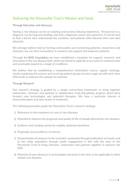# Delivering the Myrovyltis Trust's Mission and Goals

# Through Education and Advocacy

Having a rare disease can be an isolating and anxiety-inducing experience. The journey to a diagnosis can be long and winding, and with a diagnosis comes new questions. It can be hard to find a doctor who understands the condition, and patients often become their own best advocate.

We strongly believe that by forming communities and connecting patients, researchers and clinicians, we can drive innovations in research and support and empower patients.

Through the BHD Foundation we have established a template for support, research, and innovation in the rare disease field, which we intend to replicate in our work on osteosarcoma and eventually expand to a range of conditions.

We believe that by establishing a comprehensive information source, regular meetings, clearly explaining the science and involving patient groups at every stage we will work more effectively to improve the outlook for patients.

## Through Research

Our research strategy is guided by a simple overarching framework; to bring together researchers, clinicians and patients in collaborative multi-disciplinary projects which drive forward new technologies and potential therapies. We have a particular interest in immunotherapies and new routes to treatment.

The following principles guide the Myrovlytis Trust's research strategy:

- 1. Relevance to the treatment or cure of rare diseases.
- 2. Potential to improve the prognosis and quality of life of people affected by rare diseases.
- 3. Evidence that funding cannot be suitably obtained elsewhere.
- 4. Originality and excellence of science.
- 5. Dissemination of research to the scientific community through publication of results, and to the wider population through public engagement in line with the aims of the Myrovlytis Trust to bring clinicians, researchers and patients together to advance the field.
- 6. Potential of new advances in technologies and tools in the clinic to be applicable to other related rare diseases.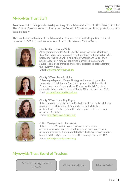# Myrovlytis Trust Staff

Trustees elect to delegate day to day running of the Myrovlytis Trust to the Charity Director. The Charity Director reports directly to the Board of Trustees and is supported by a staff team as below.

The day-to-day activities of the Myrovlytis Trust are coordinated by a team of 4, all recruited in 2021 to push forward our aims in this new era for the Trust.



## Charity Director: Anna Webb

After completing a PhD at the MRC Human Genetics Unit (now IGGM) in Edinburgh, Anna undertook postdoctoral research at UCL before moving to scientific publishing (Acquisitions Editor then Senior Editor of a medical genomics journal). She also gained several years of conference and events experience before joining the Myrovlytis Trust. Email: anna@myrovlytistrust.org



#### Charity Officer: Jazzmin Huber

Following a degree in Cancer Biology and Immunology at the University of Bristol and a Medical degree at the University of Birmingham, Jazzmin worked as a Doctor for the NHS, before joining the Myrovlytis Trust as a Charity Officer in February 2021. Email: jazzmin@myrovlytistrust.org



#### Charity Officer: Katie Nightingale

Katie completed her PhD at the Roslin Institute in Edinburgh before moving to the University of Cambridge to undertake her postdoctoral work. She joined the Myrovlytis Trust as a charity officer in May 2021. Email: katien@myrovlytistrust.org



#### Office Manager: Katie Honeywood

 $\overline{a}$ 

Katie has over 20 years' experience within a variety of administrative roles and has developed extensive experience in office management. Katie completed her ILM Level 5 in April 2021. She joined the Myrovlytis Trust as office manager in June 2021. Email: katieh@myrovlytistrust.org

# Myrovyltis Trust Board of Trustees

Dimitris Padagopoulos Tauagopoulos<br>(Chair) Vinay Paladugala Morris Saleh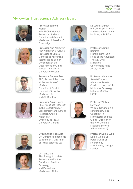# Myrovyltis Trust Science Advisory Board





# Professor Eamonn Maher

MD FRCP FMedSci, Professor of Medical Genetics and Genomic Medicine, University of **Cambridge** 

Professor Ann Nordgren Ann Nordgren is Adjunct Professor of Clinical Genetics at Karolinska Institutet and Senior Consultant at the Department of Clinical genetics, Karolinska University Hospital





Dr Laura Schmidt PhD, Principal Scientist at the National Cancer Institute, NIH, USA

Professor Manuel Ramirez Manuel Ramirez is Head of the Advanced Therapy Unit at Hospital Universitario Niño Jesús, Madrid

Professor Alejandro Sweet-Cordero Alejandro Sweet-Cordero, Leader of the

#### Professor William Newman

William Newman is a consultant Clinical Geneticist in Manchester and the Clinical Director of the NW Genomic Medicine Service Alliance (GMSA)

# Professor Daniel Gale

Daniel Gale is St Peter's Chair of Nephrology at University College London



Professor Andrew Tee PhD, Research Lecturer at the Institute of Medical Genetics of Cardiff University School of Medicine, UK and AICR fellow



Professor Arnim Pause PhD, Associate Professor in the Department of Biochemistry and Canada Research Chair in Molecular Oncology at McGill University, Canada





Dr Dimitrios Iliopoulos Dr. Dimitrios Iliopoulos is co-founder & Chairman of Attica Sciences Ltd



Dr Tian Zhang Tian Zhang, Associate Professor within the Division of Medical Oncology and Department of Medicine at Duke



Molecular Oncology Initiative (MOI) at UCSF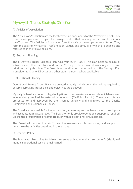# Myrovyltis Trust's Strategic Direction

# A) Articles of Association

The Articles of Association are the legal governing documents for the Myrovlytis Trust. They create a company and delegate the management of that company to the Directors (in our case Trustees). The Articles of Association form the basis of the company's constitution. They form the basis of Myrovlytis Trust's mission, values, and aims, all of which are detailed and referred to in the following plans.

# B) Business Planning

The Myrovlytis Trust's Business Plan runs from 2021- 2024. This plan helps to ensure all activities and efforts are focussed on the Myrovlytis Trust's overall aims, objectives, and priorities during this time. The Board is responsible for the formation of the Strategic Plan alongside the Charity Director and other staff members, where applicable.

# C) Operational Planning

Operational Project Action Plans are created annually, which detail the actions required to ensure Myrovlytis Trust's aims and objectives are achieved.

Myrovlytis Trust are bound by legal obligations to prepare Annual Accounts which have been independently audited by external accountants (BWP Inspire Ltd). These accounts are presented to and approved by the trustees annually and submitted to the Charity Commission and Companies House.

The Board are responsible for the formulation, monitoring and implementation of such plans and accounts at a strategic level. The Board will only provide operational support as required, via the use of subgroups or committees, or within exceptional circumstances.

The Board will ensure that staff have the necessary skills, resources, and support to undertake the activities described in these plans.

# D) Reserves Policy

The Myrovlytis Trust aims to follow a reserves policy, whereby a set period's (ideally 6-9 months') operational costs are maintained.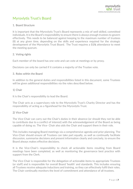# Myrovlytis Trust's Board

# 1. Board Structure

It is important that the Myrovlytis Trust's Board represents a mix of well skilled, committed individuals. It is the Board's responsibility to ensure there is always enough trustees to govern effectively. This needs to be balanced against keeping to the maximum number of trustees (8) at any given time, depending on the skills and experience required for the strategic development of the Myrovlytis Trust Board. The Trust requires a 51% attendance to meet the meeting quorum.

# 2. Voting rights

Each member of the board has one vote and can vote at meetings or by proxy.

Decisions can only be carried if it contains a majority of the Trustee vote.

## 3. Roles within the Board

In addition to the general duties and responsibilities listed in this document, some Trustees will be given additional responsibilities via the roles described below.

# 1) Chair

It is the Chair's responsibility to lead the Board.

The Chair acts as a supervisory role to the Myrovlytis Trust's Charity Director and has the responsibility of acting as a figurehead for the Myrovlytis Trust.

# 2) Vice-Chair

The Vice-Chair can carry out the Chair's duties in their absence (or should they not be able to contribute due to a conflict of interest) with the acknowledgement of the Board as being capable of doing so. The Vice- Chair also aids the Chair and support them in their role.

This includes managing Board meetings via a comprehensive agenda and prior planning. The Vice-Chair should ensure all Trustees can take part equally, as well as continually facilitate discussion, summarise decisions and present information clearly and concisely, to ensure the Board always makes effective decisions.

It is the Vice-Chair's responsibility to check all actionable items resulting from Board meetings have been completed, as well as monitoring the governance best practice with support from the Clerk.

The Vice-Chair is responsible for the delegation of actionable items to appropriate Trustees (or staff) and is responsible for overall Board 'health' and standards. This includes ensuring all Trustees receive adequate inductions and training, so they can effectively fulfil their roles. The Chair continually monitors the level of commitment and attendance of all trustees.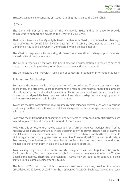Trustees can raise any concerns or issues regarding the Chair to the Vice- Chair.

## 3) Clerk

The Clerk will not be a trustee of the Myrovyltis Trust and is in place to provide administrative support and advise to the Chair and Vice-Chair.

Their role is to ensure the Myrovlytis Trust complies with Charity Law, as well as other legal requirements. Responsibilities include ensuring all necessary documentation is sent to Companies House and the Charity Commission within the deadlines set.

The Clerk is responsible for ensuring all Board documentation is always up to date and accessible to all board members.

The Clerk is responsible for compiling board meeting documentation and taking minutes at the set board meetings and any other board events as and when required.

The Clerk acts as the Myrovyltis Trusts point of contact for Freedom of Information requests.

#### 4. Tenure and Membership

To ensure the overall skills and experiences of the collective Trustees remain relevant, appropriate, and effective, Board recruitment and membership renewal should be a process of continual improvement and self-evaluation. Therefore, an annual skills audit is completed to ensure the Myrovlytis Trust remains resilient and able to adapt to the changing external and internal environment within which it operates.

To ensure the time commitment of all Trustees remain fair and achievable, as well as ensuring continual growth and adoption of new skills and experiences is encouraged, a tenure system is in place.

Following the initial period of observation and satisfactory references, potential trustees are invited to join the board for an initial period of three years.

Following this period, tenure may be extended for a further three years (subject to a Trustee meeting vote). Such circumstances will be determined by the current Board needs relative to the skills, experience, and commitment of the Trustee in question, as well as the requirements of the organisation at any given point in time. Should exceptional circumstances dictate, a Trustee may be invited to remain a member of the Board for a further 1 year, dependant on the need at that given point in time and subject to Board approval.

Trustees may resign before their set term ends. Resignation will need to put in writing to the Chair. As a Board, Trustees' have a responsibility to ensure the minimal size for the Trustee Board is maintained. Therefore, the resigning Trustee may be required to continue in their service until a suitable replacement is found.

The Board of Trustees have a right to remove a trustee at any time, provided the correct procedures are followed according to the Companies Act 2006. Such acts may be the result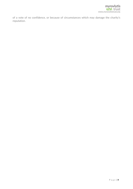of a vote of no confidence, or because of circumstances which may damage the charity's reputation.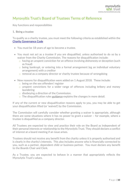# Myrovyltis Trust's Board of Trustees Terms of Reference

Key functions and responsibilities

## 1. Being a trustee

To qualify as a charity trustee, you must meet the following criteria as established within the Charity Governance Code

- You must be 18 years of age to become a trustee.
- You must not act as a trustee if you are disqualified, unless authorised to do so by a waiver from the Charity Commission. The reasons for disqualification include:
	- o having an unspent conviction for an offence involving dishonesty or deception (such as fraud)
	- o being bankrupt, or entering into a formal arrangement (eg an individual voluntary arrangement) with a creditor
	- o removal as a company director or charity trustee because of wrongdoing
- New reasons for disqualification were added on 1 August 2018. These include:
	- o being on the sex offenders' register
	- o unspent convictions for a wider range of offences including bribery and money laundering
	- o disobeying a direction of the Commission.
	- $\circ$  The disqualification rules guidance explains the changes in more detail.

If any of the current or new disqualification reasons apply to you, you may be able to get your disqualification lifted (or 'waived') by the Commission.

The Commission will carefully consider whether granting a waiver is appropriate, although there are some situations where it has no power to grant a waiver – for example, where a trustee is disqualified as a company director.

All Trustees are expected to view and practice their role on the Board as independent of their personal interests or relationship to the Myrovlytis Trust. They should declare a conflict of interest at a board meeting if an issue arises.

Trustees should not receive any benefit from the charity unless it is properly authorised and is clearly in the charity's interests. This also includes anyone who is financially connected to you, such as a partner, dependent child or business partner. You must declare any benefit to the Boards Chair and Clerk.

As a Trustee, you are expected to behave in a manner that appropriately reflects the Myrovlytis Trust's values.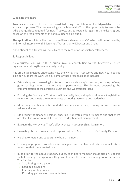## 2. Joining the board

Trustees are invited to join the board following completion of the Myrovlytis Trust's application process. This process will give the Myrovlytis Trust the opportunity to assess the skills and qualities required for new Trustees, and to recruit for gaps in the existing group based on the requirements of the annual Board skills audit.

The application will take the form of a written statement and CV, which will be followed by an informal interview with Myrovlytis Trust's Charity Director and Chair.

Appointment as a trustee will be subject to the receipt of satisfactory references.

#### 3. Responsibilities

As a trustee, you will fulfil a crucial role in contributing to the Myrovlytis Trust's organisational strength, sustainability, and growth.

It is crucial all Trustees understand how the Myrovlytis Trust works and how your specific skills can support the work we do. Some of these responsibilities include:

- Establishing and overseeing institutional policy and strategic direction, including defining goals, setting targets, and evaluating performance. This includes overseeing the implementation of the Strategic, Business and Operational Plans.
- Ensuring the Myrovlytis Trust acts within charity law, and against all relevant legislation, regulation and meets the requirements of good governance and leadership.
- Monitoring whether activities undertaken comply with the governing purpose, mission, values and aims.
- Monitoring the financial position, ensuring it operates within its means and that there are clear lines of accountability for day-to-day financial management.
- Evaluate the Myrovlytis Trust's effectiveness in accomplishing its mission.
- Evaluating the performance and responsibilities of Myrovlytis Trust's Charity Director.
- Helping to recruit and support new board members.
- Ensuring appropriate procedures and safeguards are in place and take reasonable steps to ensure that these are followed.
- In addition to the above statutory duties, each board member should use any specific skills, knowledge or experience they have to assist the board in reaching sound decisions. This involves:
	- o Scrutinising board papers
	- o Leading discussions
	- o Focusing on key issues
	- o Providing guidance on new initiatives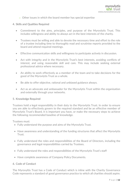o Other issues in which the board member has special expertise

## 4. Skills and Qualities Required

- Commitment to the aims, principles, and purpose of the Myrovlytis Trust. This includes willingness and ability to always act in the best interests of the charity.
- Trustees must be willing and able to devote the necessary time and effort to the role of a trustee including time to thoroughly read and scrutinise reports provided to the board and attend required meetings.
- Effective communication skills and willingness to participate actively in discussion.
- Act with integrity and in the Myrovlytis Trust's best interests, avoiding conflicts of interest, and using reasonable skill and care. This may include seeking external professional advice where necessary.
- An ability to work effectively as a member of the team and to take decisions for the good of the Myrovlytis Trust as a whole.
- Be able to offer objective, rational and unbiased guidance always.
- Act as an advocate and ambassador for the Myrovlytis Trust within the organisation and externally through your networks.

#### 5. Knowledge Required

Trustees hold a legal responsibility in their duty to the Myrovlytis Trust. In order to ensure you are able to effectively govern to the required standard and be an effective member of Myrovlytis Trust's Board, it is important you have, or make the necessary steps to achieve the following recommended baseline of knowledge.

Trustees must:

- Fully understand the purpose and aims of the Myrovlytis Trust.
- Have awareness and understanding of the funding structures that affect the Myrovlytis Trust.
- Fully understand the roles and responsibilities of the Board of Directors, including the governance and legal responsibilities carried by Trustees.
- Fully understand the roles and responsibilities of the Myrovlytis Trust's staff
- Have complete awareness of Company Policy Documents.

# 6. Code of Conduct

The Myrovyltis Trust has a Code of Conduct which is inline with the Charity Governance Code represents a standard of good governance practice to which all charities should aspire.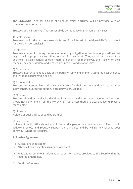The Myrovlytis Trust has a Code of Conduct which a trustee will be provided with on commencement of term.

Trustees of the Myrovlytis Trust must abide by the following fundamental values:

#### 1) Selflessness

Trustees should take decisions solely in terms of the interest of the Myrovlytis Trust and not for their own personal gain.

#### 2) Integrity

Trustees must avoid placing themselves under any obligation to people or organisations that might try inappropriately to influence them in their work. They should not act or take decisions to gain financial or other material benefits for themselves, their family, or their friends. They must declare and resolve any interests and relationships.

#### 3) Objectivity

Trustees must act and take decisions impartially, fairly and on merit, using the best evidence and without discrimination or bias.

#### 4) Accountability

Trustees are accountable to the Myrovlytis trust for their decisions and actions and must submit themselves to the scrutiny necessary to ensure this.

#### 5) Openness

Trustees should act and take decisions in an open and transparent manner. Information should not be withheld from the Myrovlytis Trust unless there are clear and lawful reasons for so doing.

#### 6) Honesty

Holders of public office should be truthful.

#### 7) Leadership

Holders of public office should exhibit these principles in their own behaviour. They should actively promote and robustly support the principles and be willing to challenge poor behaviour wherever it occurs.

#### 7. Trustee Agreement

All Trustees are expected to:

- Attend all board meetings (planned or called)
- Read and respond to all information, papers or reports provided to the Board within the required timeframes.

#### 8. Conflict of Interest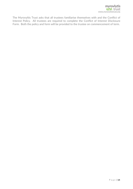The Myrovyltis Trust asks that all trustees familiarise themselves with and the Conflict of Interest Policy. All trustees are required to complete the Conflict of Interest Disclosure Form. Both the policy and form will be provided to the trustee on commencement of term.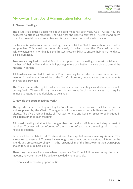# Myrovyltis Trust Board Administration Information

## 1. General Meetings

The Myrovlytis Trust's Board hold four board meetings each year. As a Trustee, you are expected to attend all meetings. The Chair has the right to ask that a Trustee stand down from the Board if three consecutive meetings are missed without a valid reason.

If a trustee is unable to attend a meeting, they must let the Clerk know with as much notice as possible. This must be done via email, in which case the Clerk will confirm acknowledgement in writing. It is the Trustees responsibility to ensure their non-attendance is acknowledged.

Trustees are required to read all Board papers prior to each meeting and must contribute to the best of their ability and provide input regardless of whether they are able to attend the meeting in person.

All Trustees are entitled to ask for a Board meeting to be called however whether such meeting is held in practice will be at the Chair's discretion, dependant on the requirements and reasons provided.

The Chair reserves the right to call an extraordinary board meeting as and when they should be required. These will only be called during exceptional circumstances that require immediate attention and decisions to be made.

#### 2. How do the Board meetings work?

The agenda for each meeting is set by the Vice Chair in conjunction with the Charity Director and supported by the Clerk. The agenda will have clear actionable items and points to discuss. The Vice Chair will invite all Trustees to raise any items or issues to be included in the agenda prior to each meeting.

All board meetings shall not last longer than two and a half hours, including a break if required. Trustees will be informed of the location of each board meeting with as much notice as possible.

Papers will be circulated to all Trustees at least five days before each meeting via email. This is required to ensure all Trustees have enough time to read and understand all items on the agenda and prepare accordingly. It is the responsibility of the Trust to print their own papers should they require hard copies.

There may be some instances where papers are 'held' until full review during the board meeting, however this will be actively avoided where possible.

#### 3. Events and networking opportunities